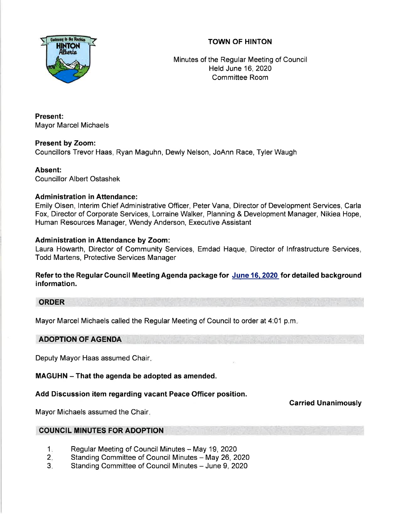

# TOWN OF HINTON

Minutes of the Regular Meeting of Council Held June 16,2020 Committee Room

Present: Mayor Marcel Michaels

Present by Zoom: Councillors Trevor Haas, Ryan Maguhn, Dewly Nelson, JoAnn Race, Tyler Waugh

Absent:

Councillor Albert Ostashek

# Administration in Attendance:

Emily Olsen, lnterim Chief Administrative Officer, Peter Vana, Director of Development Services, Carla Fox, Director of Corporate Services, Lorraine Walker, Planning & Development Manager, Nikiea Hope, Human Resources Manager, Wendy Anderson, Executive Assistant

# Administration in Attendance by Zoom:

Laura Howarth, Director of Community Services, Emdad Haque, Director of lnfrastructure Services, Todd Martens, Protective Services Manager

Refer to the Regular Gouncil Meeting Agenda package for June 16. 2020 for detailed background information.

### ORDER

Mayor Marcel Michaels called the Regular Meeting of Council to order at 4:01 p.m

# ADOPTION OF AGENDA

Deputy Mayor Haas assumed Chair

MAGUHN - That the agenda be adopted as amended.

Add Discussion item regarding vacant Peace Officer position.

Carried Unanimously

Mayor Michaels assumed the Chair

### COUNCIL MINUTES FOR ADOPTION

- Regular Meeting of Council Minutes May 19, 2020 1.
- Standing Committee of Council Minutes May 26, 2020 2.
- Standing Committee of Council Minutes June 9, 2020 3.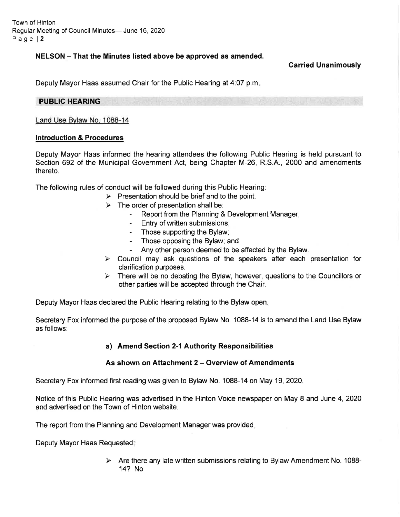Town of Hinton Regular Meeting of Council Minutes- June 16, 2020 Page l2

### NELSON - That the Minutes listed above be approved as amended.

Garried Unanimously

Deputy Mayor Haas assumed Chair for the Public Hearing at 4:07 p.m

#### PUBLIC HEARING

Land Use Bvlaw No. 1088-14

#### Introduction & Procedures

Deputy Mayor Haas informed the hearing attendees the following Public Hearing is held pursuant to Section 692 of the Municipal Government Act, being Chapter M-26, R.S.A., 2000 and amendments thereto.

The following rules of conduct will be followed during this Public Hearing:

- $\triangleright$  Presentation should be brief and to the point.
- 
- $\triangleright$  The order of presentation shall be:<br>- Report from the Planning & Development Manager;
	- Entry of written submissions;
	- Those supporting the Bylaw;
	- Those opposing the Bylaw; and
	-
- Any other person deemed to be affected by the Bylaw.<br>
> Council may ask questions of the speakers after each presentation for clarification purposes.
- $\triangleright$  There will be no debating the Bylaw, however, questions to the Councillors or other parties will be accepted through the Chair.

Deputy Mayor Haas declared the Public Hearing relating to the Bylaw open

Secretary Fox informed the purpose of the proposed Bylaw No. 1088-14 is to amend the Land Use Bylaw as follows:

#### a) Amend Section 2-1 Authority Responsibilities

#### As shown on Attachment 2 - Overview of Amendments

Secretary Fox informed first reading was given to Bylaw No. 1088-14 on May 19,2020

Notice of this Public Hearing was advertised in the Hinton Voice newspaper on May 8 and June 4,2020 and advertised on the Town of Hinton website.

The report from the Planning and Development Manager was provided

Deputy Mayor Haas Requested:

 $\triangleright$  Are there any late written submissions relating to Bylaw Amendment No. 1088-14? No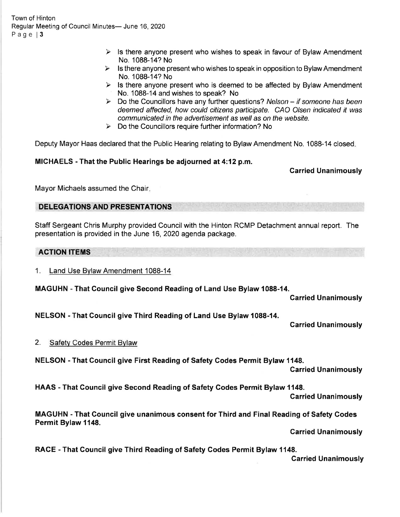Town of Hinton Regular Meeting of Council Minutes- June 16, 2020 Page 13

- $\triangleright$  Is there anyone present who wishes to speak in favour of Bylaw Amendment
- No. 1088-14? No<br>  $\geq$  Is there anyone present who wishes to speak in opposition to Bylaw Amendment No. 1088-14? No
- $\triangleright$  Is there anyone present who is deemed to be affected by Bylaw Amendment No. 1088-14 and wishes to speak? No<br>
ightharpoonup Nelson – if someone has been<br>  $\triangleright$  Do the Councillors have any further questions? Nelson – if someone has been
- deemed affected, how could citizens participate. CAO Olsen indicated it was communicated in the advertisement as well as on the website.<br>  $\triangleright$  Do the Councillors require further information? No
- 

Deputy Mayor Haas declared that the Public Hearing relating to Bylaw Amendment No. 1088-14 closed

MICHAELS - That the Public Hearings be adjourned at 4:12 p.m.

Carried Unanimously

Mayor Michaels assumed the Chair

# DELEGATIONS AND PRESENTATIONS

Staff Sergeant Chris Murphy provided Council with the Hinton RCMP Detachment annual report. The presentation is provided in the June 16, 2020 agenda package.

### ACTION ITEMS

1. Land Use Bylaw Amendment 1088-14

MAGUHN - That Gouncil give Second Reading of Land Use Bylaw 1088-14.

Garried Unanimously

NELSON - That Council give Third Reading of Land Use Bylaw 1088-14.

### Carried Unanimously

### 2. Safetv Codes Permit Bvlaw

NELSON - That Council give First Reading of Safety Godes Permit Bylaw 1148.

Carried Unanimously

HAAS - That Gouncil give Second Reading of Safety Godes Permit Bylaw 1148.

Carried Unanimously

MAGUHN - That Gouncil give unanimous consent for Third and Final Reading of Safety Codes Permit Bylaw 1148.

**Carried Unanimously** 

RACE - That Council give Third Reading of Safety Codes Permit Bylaw 1148. Garried Unanimously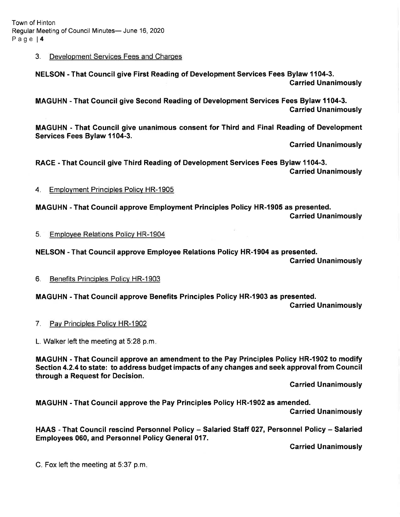#### 3. Development Services Fees and Charqes

NELSON - That Gouncil give First Reading of Development Services Fees Bylaw 1104-3. Carried Unanimously

MAGUHN - That Gouncil give Second Reading of Development Services Fees Bylaw 1104-3. Carried Unanimously

MAGUHN - That Gouncil give unanimous consent for Third and Final Reading of Development Services Fees Bylaw 1104-3.

Carried Unanimously

RACE - That Council give Third Reading of Development Services Fees Bylaw 1104-3. Carried Unanimously

4. Employment Principles Policy HR-1905

MAGUHN - That Gouncil approve Employment Principles Policy HR-1905 as presented. Garried Unanimously

5. Emplovee Relations Policv HR-1904

NELSON - That Gouncil approve Employee Relations Policy HR-l904 as presented.

Garried Unanimously

6. Benefits Principles Policv HR-1903

MAGUHN - That Council approve Benefits Principles Policy HR-1903 as presented.

Garried Unanimously

7. Pav Principles Policv HR-1902

L. Walker left the meeting at 5:28 p.m.

MAGUHN - That Gouncil approve an amendment to the Pay Principles Policy HR-1902 to modify Section 4.2.4 to state: to address budget impacts of any changes and seek approval from Council through a Request for Decision.

Carried Unanimously

MAGUHN - That Council approve the Pay Principles Policy HR-l902 as amended.

Garried Unanimously

HAAS - That Council rescind Personnel Policy - Salaried Staff 027, Personnel Policy - Salaried Employees 060, and Personnel Policy General 017.

Garried Unanimously

C. Fox left the meeting at 5:37 p.m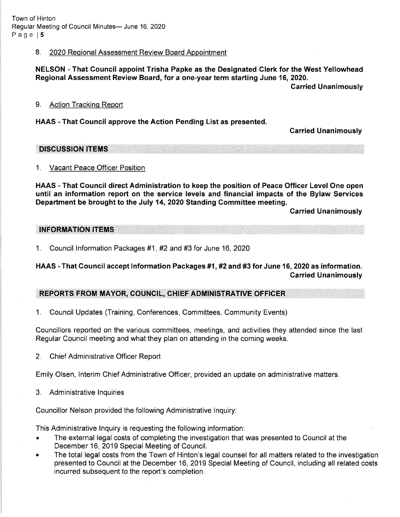### 8. 2020 Regional Assessment Review Board Appointment

### NELSON - That Council appoint Trisha Papke as the Designated Clerk for the West Yellowhead Regional Assessment Review Board, for a one-year term starting June 16, 2020.

Garried Unanimously

#### 9. Action Trackinq Report

### HAAS - That Gouncil approve the Action Pending List as presented.

Carried Unanimously

DISCUSSION ITEMS

#### 1. Vacant Peace Officer Position

HAAS - That Council direct Administration to keep the position of Peace Officer Level One open until an information report on the service levels and financial impacts of the Bylaw Services Department be brought to the July 14,2020 Standing Committee meeting.

Carried Unanimously

#### INFORMATION ITEMS

<sup>1</sup>. Council lnformation Packages #1 , #2 and #3 for June 16, 2O2O

# HAAS - That Council accept Information Packages #1, #2 and #3 for June 16, 2020 as information. Garried Unanimously

# REPORTS FROM MAYOR, COUNCIL, CHIEF ADMINISTRATIVE OFFICER

1. Council Updates (Training, Conferences, Committees, Community Events)

Councillors reported on the various committees, meetings, and activities they attended since the last Regular Council meeting and what they plan on attending in the coming weeks.

2. Chief Administrative Officer Report

Emily Olsen, lnterim Chief Administrative Officer, provided an update on administrative matters.

3. Administrative lnquiries

Councillor Nelson provided the following Administrative lnquiry:

This Administrative lnquiry is requesting the following information:

- . The external legal costs of completing the investigation that was presented to Council at the December 16, 2019 Special Meeting of Council.
- The total legal costs from the Town of Hinton's legal counsel for all matters related to the investigation presented to Council at the December 16, 2019 Special Meeting of Council, including all related costs incurred subsequent to the report's completion.